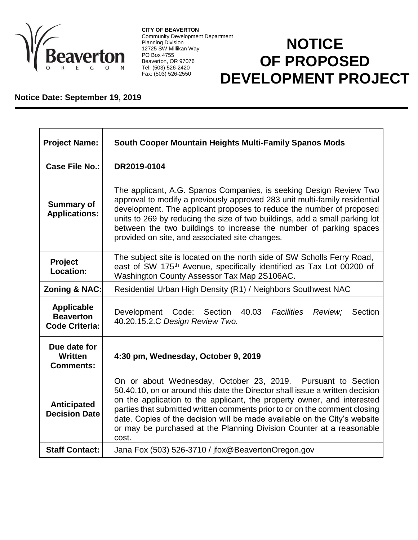

**CITY OF BEAVERTON** Community Development Department Planning Division 12725 SW Millikan Way PO Box 4755 Beaverton, OR 97076 Tel: (503) 526-2420 Fax: (503) 526-2550

## **NOTICE OF PROPOSED DEVELOPMENT PROJECT**

## **Notice Date: September 19, 2019**

| <b>Project Name:</b>                                           | South Cooper Mountain Heights Multi-Family Spanos Mods                                                                                                                                                                                                                                                                                                                                                                                                              |
|----------------------------------------------------------------|---------------------------------------------------------------------------------------------------------------------------------------------------------------------------------------------------------------------------------------------------------------------------------------------------------------------------------------------------------------------------------------------------------------------------------------------------------------------|
| <b>Case File No.:</b>                                          | DR2019-0104                                                                                                                                                                                                                                                                                                                                                                                                                                                         |
| <b>Summary of</b><br><b>Applications:</b>                      | The applicant, A.G. Spanos Companies, is seeking Design Review Two<br>approval to modify a previously approved 283 unit multi-family residential<br>development. The applicant proposes to reduce the number of proposed<br>units to 269 by reducing the size of two buildings, add a small parking lot<br>between the two buildings to increase the number of parking spaces<br>provided on site, and associated site changes.                                     |
| <b>Project</b><br>Location:                                    | The subject site is located on the north side of SW Scholls Ferry Road,<br>east of SW 175 <sup>th</sup> Avenue, specifically identified as Tax Lot 00200 of<br>Washington County Assessor Tax Map 2S106AC.                                                                                                                                                                                                                                                          |
| <b>Zoning &amp; NAC:</b>                                       | Residential Urban High Density (R1) / Neighbors Southwest NAC                                                                                                                                                                                                                                                                                                                                                                                                       |
| <b>Applicable</b><br><b>Beaverton</b><br><b>Code Criteria:</b> | Development Code: Section 40.03<br>Facilities<br>Review:<br>Section<br>40.20.15.2.C Design Review Two.                                                                                                                                                                                                                                                                                                                                                              |
| Due date for<br>Written<br><b>Comments:</b>                    | 4:30 pm, Wednesday, October 9, 2019                                                                                                                                                                                                                                                                                                                                                                                                                                 |
| <b>Anticipated</b><br><b>Decision Date</b>                     | On or about Wednesday, October 23, 2019. Pursuant to Section<br>50.40.10, on or around this date the Director shall issue a written decision<br>on the application to the applicant, the property owner, and interested<br>parties that submitted written comments prior to or on the comment closing<br>date. Copies of the decision will be made available on the City's website<br>or may be purchased at the Planning Division Counter at a reasonable<br>cost. |
| <b>Staff Contact:</b>                                          | Jana Fox (503) 526-3710 / jfox@BeavertonOregon.gov                                                                                                                                                                                                                                                                                                                                                                                                                  |